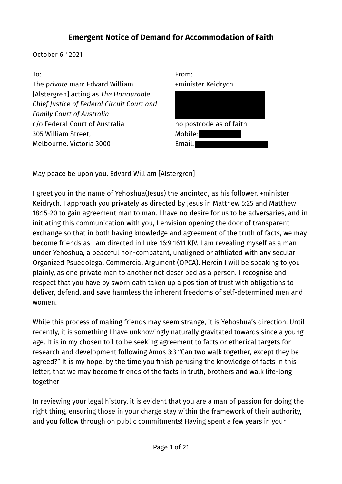October 6<sup>th</sup> 2021

#### To:

The *private* man: Edvard William [Alstergren] acting as *The Honourable Chief Justice of Federal Circuit Court and Family Court of Australia* c/o Federal Court of Australia 305 William Street, Melbourne, Victoria 3000



May peace be upon you, Edvard William [Alstergren]

I greet you in the name of Yehoshua(Jesus) the anointed, as his follower, +minister Keidrych. I approach you privately as directed by Jesus in Matthew 5:25 and Matthew 18:15-20 to gain agreement man to man. I have no desire for us to be adversaries, and in initiating this communication with you, I envision opening the door of transparent exchange so that in both having knowledge and agreement of the truth of facts, we may become friends as I am directed in Luke 16:9 1611 KJV. I am revealing myself as a man under Yehoshua, a peaceful non-combatant, unaligned or affiliated with any secular Organized Psuedolegal Commercial Argument (OPCA). Herein I will be speaking to you plainly, as one private man to another not described as a person. I recognise and respect that you have by sworn oath taken up a position of trust with obligations to deliver, defend, and save harmless the inherent freedoms of self-determined men and women.

While this process of making friends may seem strange, it is Yehoshua's direction. Until recently, it is something I have unknowingly naturally gravitated towards since a young age. It is in my chosen toil to be seeking agreement to facts or etherical targets for research and development following Amos 3:3 "Can two walk together, except they be agreed?" It is my hope, by the time you finish perusing the knowledge of facts in this letter, that we may become friends of the facts in truth, brothers and walk life-long together

In reviewing your legal history, it is evident that you are a man of passion for doing the right thing, ensuring those in your charge stay within the framework of their authority, and you follow through on public commitments! Having spent a few years in your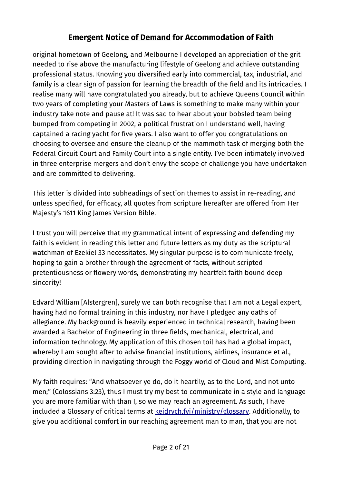original hometown of Geelong, and Melbourne I developed an appreciation of the grit needed to rise above the manufacturing lifestyle of Geelong and achieve outstanding professional status. Knowing you diversified early into commercial, tax, industrial, and family is a clear sign of passion for learning the breadth of the field and its intricacies. I realise many will have congratulated you already, but to achieve Queens Council within two years of completing your Masters of Laws is something to make many within your industry take note and pause at! It was sad to hear about your bobsled team being bumped from competing in 2002, a political frustration I understand well, having captained a racing yacht for five years. I also want to offer you congratulations on choosing to oversee and ensure the cleanup of the mammoth task of merging both the Federal Circuit Court and Family Court into a single entity. I've been intimately involved in three enterprise mergers and don't envy the scope of challenge you have undertaken and are committed to delivering.

This letter is divided into subheadings of section themes to assist in re-reading, and unless specified, for efficacy, all quotes from scripture hereafter are offered from Her Majesty's 1611 King James Version Bible.

I trust you will perceive that my grammatical intent of expressing and defending my faith is evident in reading this letter and future letters as my duty as the scriptural watchman of Ezekiel 33 necessitates. My singular purpose is to communicate freely, hoping to gain a brother through the agreement of facts, without scripted pretentiousness or flowery words, demonstrating my heartfelt faith bound deep sincerity!

Edvard William [Alstergren], surely we can both recognise that I am not a Legal expert, having had no formal training in this industry, nor have I pledged any oaths of allegiance. My background is heavily experienced in technical research, having been awarded a Bachelor of Engineering in three fields, mechanical, electrical, and information technology. My application of this chosen toil has had a global impact, whereby I am sought after to advise financial institutions, airlines, insurance et al., providing direction in navigating through the Foggy world of Cloud and Mist Computing.

My faith requires: "And whatsoever ye do, do it heartily, as to the Lord, and not unto men;" (Colossians 3:23), thus I must try my best to communicate in a style and language you are more familiar with than I, so we may reach an agreement. As such, I have included a Glossary of critical terms at [keidrych.fyi/ministry/glossary.](http://keidrych.fyi/ministry/glossary) Additionally, to give you additional comfort in our reaching agreement man to man, that you are not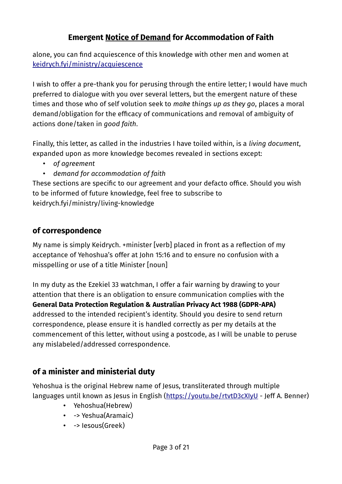alone, you can find acquiescence of this knowledge with other men and women at [keidrych.fyi/ministry/acquiescence](http://keidrych.fyi/ministry/acquiescence)

I wish to offer a pre-thank you for perusing through the entire letter; I would have much preferred to dialogue with you over several letters, but the emergent nature of these times and those who of self volution seek to *make things up as they go*, places a moral demand/obligation for the efficacy of communications and removal of ambiguity of actions done/taken in *good faith*.

Finally, this letter, as called in the industries I have toiled within, is a *living document*, expanded upon as more knowledge becomes revealed in sections except:

- *of agreement*
- *demand for accommodation of faith*

These sections are specific to our agreement and your defacto office. Should you wish to be informed of future knowledge, feel free to subscribe to keidrych.fyi/ministry/living-knowledge

### **of correspondence**

My name is simply Keidrych. +minister [verb] placed in front as a reflection of my acceptance of Yehoshua's offer at John 15:16 and to ensure no confusion with a misspelling or use of a title Minister [noun]

In my duty as the Ezekiel 33 watchman, I offer a fair warning by drawing to your attention that there is an obligation to ensure communication complies with the **General Data Protection Regulation & Australian Privacy Act 1988 (GDPR-APA)** addressed to the intended recipient's identity. Should you desire to send return correspondence, please ensure it is handled correctly as per my details at the commencement of this letter, without using a postcode, as I will be unable to peruse any mislabeled/addressed correspondence.

### **of a minister and ministerial duty**

Yehoshua is the original Hebrew name of Jesus, transliterated through multiple languages until known as Jesus in English [\(https://youtu.be/rtvtD3cXIyU](https://youtu.be/rtvtD3cXIyU) - Jeff A. Benner)

- Yehoshua(Hebrew)
- -> Yeshua(Aramaic)
- -> Iesous(Greek)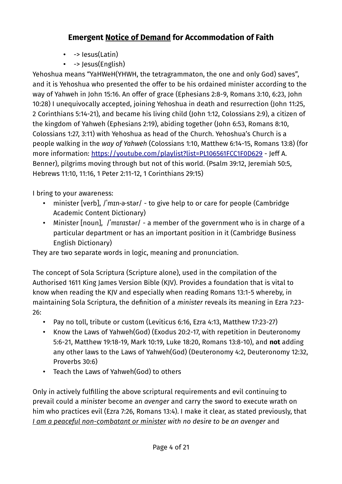- -> lesus(Latin)
- -> Jesus(English)

Yehoshua means "YaHWeH(YHWH, the tetragrammaton, the one and only God) saves", and it is Yehoshua who presented the offer to be his ordained minister according to the way of Yahweh in John 15:16. An offer of grace (Ephesians 2:8-9, Romans 3:10, 6:23, John 10:28) I unequivocally accepted, joining Yehoshua in death and resurrection (John 11:25, 2 Corinthians 5:14-21), and became his living child (John 1:12, Colossians 2:9), a citizen of the kingdom of Yahweh (Ephesians 2:19), abiding together (John 6:53, Romans 8:10, Colossians 1:27, 3:11) with Yehoshua as head of the Church. Yehoshua's Church is a people walking in the *way of Yahweh* (Colossians 1:10, Matthew 6:14-15, Romans 13:8) (for more information: <https://youtube.com/playlist?list=PL106561FCC1F0D629> - Jeff A. Benner), pilgrims moving through but not of this world. (Psalm 39:12, Jeremiah 50:5, Hebrews 11:10, 11:16, 1 Peter 2:11-12, 1 Corinthians 29:15)

I bring to your awareness:

- minister [verb], /ˈmɪn·ə·stər/ to give help to or care for people (Cambridge Academic Content Dictionary)
- Minister [noun], /ˈmɪnɪstər/ a member of the government who is in charge of a particular department or has an important position in it (Cambridge Business English Dictionary)

They are two separate words in logic, meaning and pronunciation.

The concept of Sola Scriptura (Scripture alone), used in the compilation of the Authorised 1611 King James Version Bible (KJV). Provides a foundation that is vital to know when reading the KJV and especially when reading Romans 13:1-5 whereby, in maintaining Sola Scriptura, the definition of a *minister* reveals its meaning in Ezra 7:23- 26:

- Pay no toll, tribute or custom (Leviticus 6:16, Ezra 4:13, Matthew 17:23-27)
- Know the Laws of Yahweh(God) (Exodus 20:2-17, with repetition in Deuteronomy 5:6-21, Matthew 19:18-19, Mark 10:19, Luke 18:20, Romans 13:8-10), and **not** adding any other laws to the Laws of Yahweh(God) (Deuteronomy 4:2, Deuteronomy 12:32, Proverbs 30:6)
- Teach the Laws of Yahweh(God) to others

Only in actively fulfilling the above scriptural requirements and evil continuing to prevail could a *minister* become an *avenger* and carry the sword to execute wrath on him who practices evil (Ezra 7:26, Romans 13:4). I make it clear, as stated previously, that *I am a peaceful non-combatant or minister with no desire to be an avenger and*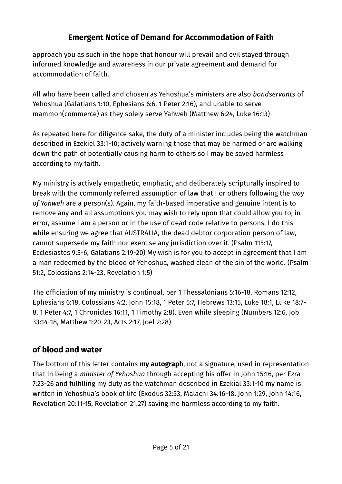approach you as such in the hope that honour will prevail and evil stayed through informed knowledge and awareness in our private agreement and demand for accommodation of faith.

All who have been called and chosen as Yehoshua's *ministers* are also *bondservants* of Yehoshua (Galatians 1:10, Ephesians 6:6, 1 Peter 2:16), and unable to serve mammon(commerce) as they solely serve Yahweh (Matthew 6:24, Luke 16:13)

As repeated here for diligence sake, the duty of a minister includes being the watchman described in Ezekiel 33:1-10; actively warning those that may be harmed or are walking down the path of potentially causing harm to others so I may be saved harmless according to my faith.

My ministry is actively empathetic, emphatic, and deliberately scripturally inspired to break with the commonly referred assumption of law that I or others following the *way of Yahweh* are a person(s). Again, my faith-based imperative and genuine intent is to remove any and all assumptions you may wish to rely upon that could allow you to, in error, assume I am a person or in the use of dead code relative to persons. I do this while ensuring we agree that AUSTRALIA, the dead debtor corporation person of law, cannot supersede my faith nor exercise any jurisdiction over it. (Psalm 115:17, Ecclesiastes 9:5-6, Galatians 2:19-20) My wish is for you to accept in agreement that I am a man redeemed by the blood of Yehoshua, washed clean of the sin of the world. (Psalm 51:2, Colossians 2:14-23, Revelation 1:5)

The officiation of my ministry is continual, per 1 Thessalonians 5:16-18, Romans 12:12, Ephesians 6:18, Colossians 4:2, John 15:18, 1 Peter 5:7, Hebrews 13:15, Luke 18:1, Luke 18:7- 8, 1 Peter 4:7, 1 Chronicles 16:11, 1 Timothy 2:8). Even while sleeping (Numbers 12:6, Job 33:14-18, Matthew 1:20-23, Acts 2:17, Joel 2:28)

### **of blood and water**

The bottom of this letter contains **my autograph**, not a signature, used in representation that in being a *minister of Yehoshua* through accepting his offer in John 15:16, per Ezra 7:23-26 and fulfilling my duty as the watchman described in Ezekial 33:1-10 my name is written in Yehoshua's book of life (Exodus 32:33, Malachi 34:16-18, John 1:29, John 14:16, Revelation 20:11-15, Revelation 21:27) saving me harmless according to my faith.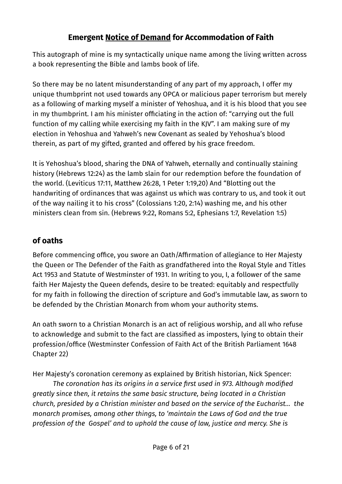This autograph of mine is my syntactically unique name among the living written across a book representing the Bible and lambs book of life.

So there may be no latent misunderstanding of any part of my approach, I offer my unique thumbprint not used towards any OPCA or malicious paper terrorism but merely as a following of marking myself a minister of Yehoshua, and it is his blood that you see in my thumbprint. I am his minister officiating in the action of: "carrying out the full function of my calling while exercising my faith in the KJV". I am making sure of my election in Yehoshua and Yahweh's new Covenant as sealed by Yehoshua's blood therein, as part of my gifted, granted and offered by his grace freedom.

It is Yehoshua's blood, sharing the DNA of Yahweh, eternally and continually staining history (Hebrews 12:24) as the lamb slain for our redemption before the foundation of the world. (Leviticus 17:11, Matthew 26:28, 1 Peter 1:19,20) And "Blotting out the handwriting of ordinances that was against us which was contrary to us, and took it out of the way nailing it to his cross" (Colossians 1:20, 2:14) washing me, and his other ministers clean from sin. (Hebrews 9:22, Romans 5:2, Ephesians 1:7, Revelation 1:5)

# **of oaths**

Before commencing office, you swore an Oath/Affirmation of allegiance to Her Majesty the Queen or The Defender of the Faith as grandfathered into the Royal Style and Titles Act 1953 and Statute of Westminster of 1931. In writing to you, I, a follower of the same faith Her Majesty the Queen defends, desire to be treated: equitably and respectfully for my faith in following the direction of scripture and God's immutable law, as sworn to be defended by the Christian Monarch from whom your authority stems.

An oath sworn to a Christian Monarch is an act of religious worship, and all who refuse to acknowledge and submit to the fact are classified as imposters, lying to obtain their profession/office (Westminster Confession of Faith Act of the British Parliament 1648 Chapter 22)

Her Majesty's coronation ceremony as explained by British historian, Nick Spencer:

*The coronation has its origins in a service first used in 973. Although modified greatly since then, it retains the same basic structure, being located in a Christian church, presided by a Christian minister and based on the service of the Eucharist... the monarch promises, among other things, to 'maintain the Laws of God and the true profession of the Gospel' and to uphold the cause of law, justice and mercy. She is*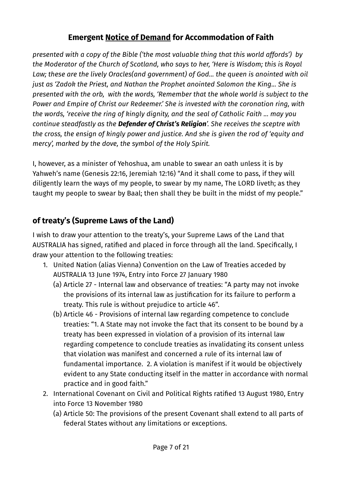*presented with a copy of the Bible ('the most valuable thing that this world affords') by the Moderator of the Church of Scotland, who says to her, 'Here is Wisdom; this is Royal Law; these are the lively Oracles(and government) of God... the queen is anointed with oil just as 'Zadok the Priest, and Nathan the Prophet anointed Salomon the King... She is presented with the orb, with the words, 'Remember that the whole world is subject to the Power and Empire of Christ our Redeemer.' She is invested with the coronation ring, with the words, 'receive the ring of kingly dignity, and the seal of Catholic Faith ... may you continue steadfastly as the Defender of Christ's Religion'. She receives the sceptre with the cross, the ensign of kingly power and justice. And she is given the rod of 'equity and mercy', marked by the dove, the symbol of the Holy Spirit.*

I, however, as a minister of Yehoshua, am unable to swear an oath unless it is by Yahweh's name (Genesis 22:16, Jeremiah 12:16) "And it shall come to pass, if they will diligently learn the ways of my people, to swear by my name, The LORD liveth; as they taught my people to swear by Baal; then shall they be built in the midst of my people."

# **of treaty's (Supreme Laws of the Land)**

I wish to draw your attention to the treaty's, your Supreme Laws of the Land that AUSTRALIA has signed, ratified and placed in force through all the land. Specifically, I draw your attention to the following treaties:

- 1. United Nation (alias Vienna) Convention on the Law of Treaties acceded by AUSTRALIA 13 June 1974, Entry into Force 27 January 1980
	- (a) Article 27 Internal law and observance of treaties: "A party may not invoke the provisions of its internal law as justification for its failure to perform a treaty. This rule is without prejudice to article 46".
	- (b) Article 46 Provisions of internal law regarding competence to conclude treaties: "1. A State may not invoke the fact that its consent to be bound by a treaty has been expressed in violation of a provision of its internal law regarding competence to conclude treaties as invalidating its consent unless that violation was manifest and concerned a rule of its internal law of fundamental importance. 2. A violation is manifest if it would be objectively evident to any State conducting itself in the matter in accordance with normal practice and in good faith."
- 2. International Covenant on Civil and Political Rights ratified 13 August 1980, Entry into Force 13 November 1980
	- (a) Article 50: The provisions of the present Covenant shall extend to all parts of federal States without any limitations or exceptions.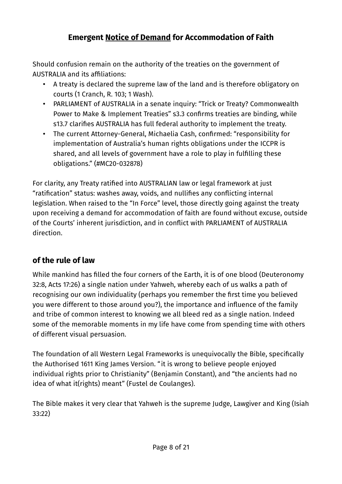Should confusion remain on the authority of the treaties on the government of AUSTRALIA and its affiliations:

- A treaty is declared the supreme law of the land and is therefore obligatory on courts (1 Cranch, R. 103; 1 Wash).
- PARLIAMENT of AUSTRALIA in a senate inquiry: "Trick or Treaty? Commonwealth Power to Make & Implement Treaties" s3.3 confirms treaties are binding, while s13.7 clarifies AUSTRALIA has full federal authority to implement the treaty.
- The current Attorney-General, Michaelia Cash, confirmed: "responsibility for implementation of Australia's human rights obligations under the ICCPR is shared, and all levels of government have a role to play in fulfilling these obligations." (#MC20-032878)

For clarity, any Treaty ratified into AUSTRALIAN law or legal framework at just "ratification" status: washes away, voids, and nullifies any conflicting internal legislation. When raised to the "In Force" level, those directly going against the treaty upon receiving a demand for accommodation of faith are found without excuse, outside of the Courts' inherent jurisdiction, and in conflict with PARLIAMENT of AUSTRALIA direction.

# **of the rule of law**

While mankind has filled the four corners of the Earth, it is of one blood (Deuteronomy 32:8, Acts 17:26) a single nation under Yahweh, whereby each of us walks a path of recognising our own individuality (perhaps you remember the first time you believed you were different to those around you?), the importance and influence of the family and tribe of common interest to knowing we all bleed red as a single nation. Indeed some of the memorable moments in my life have come from spending time with others of different visual persuasion.

The foundation of all Western Legal Frameworks is unequivocally the Bible, specifically the Authorised 1611 King James Version. "it is wrong to believe people enjoyed individual rights prior to Christianity" (Benjamin Constant), and "the ancients had no idea of what it(rights) meant" (Fustel de Coulanges).

The Bible makes it very clear that Yahweh is the supreme Judge, Lawgiver and King (Isiah 33:22)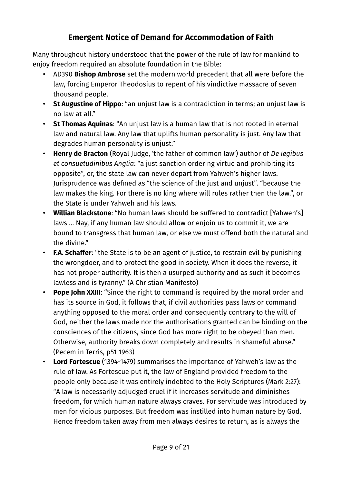Many throughout history understood that the power of the rule of law for mankind to enjoy freedom required an absolute foundation in the Bible:

- AD390 **Bishop Ambrose** set the modern world precedent that all were before the law, forcing Emperor Theodosius to repent of his vindictive massacre of seven thousand people.
- **St Augustine of Hippo**: "an unjust law is a contradiction in terms; an unjust law is no law at all."
- **St Thomas Aquinas**: "An unjust law is a human law that is not rooted in eternal law and natural law. Any law that uplifts human personality is just. Any law that degrades human personality is unjust."
- **Henry de Bracton** (Royal Judge, 'the father of common law') author of *De legibus et consuetudinibus Anglia*: "a just sanction ordering virtue and prohibiting its opposite", or, the state law can never depart from Yahweh's higher laws. Jurisprudence was defined as "the science of the just and unjust". "because the law makes the king. For there is no king where will rules rather then the law.", or the State is under Yahweh and his laws.
- **Willian Blackstone**: "No human laws should be suffered to contradict [Yahweh's] laws … Nay, if any human law should allow or enjoin us to commit it, we are bound to transgress that human law, or else we must offend both the natural and the divine."
- **F.A. Schaffer**: "the State is to be an agent of justice, to restrain evil by punishing the wrongdoer, and to protect the good in society. When it does the reverse, it has not proper authority. It is then a usurped authority and as such it becomes lawless and is tyranny." (A Christian Manifesto)
- **Pope John XXIII**: "Since the right to command is required by the moral order and has its source in God, it follows that, if civil authorities pass laws or command anything opposed to the moral order and consequently contrary to the will of God, neither the laws made nor the authorisations granted can be binding on the consciences of the citizens, since God has more right to be obeyed than men. Otherwise, authority breaks down completely and results in shameful abuse." (Pecem in Terris, p51 1963)
- **Lord Fortescue** (1394-1479) summarises the importance of Yahweh's law as the rule of law. As Fortescue put it, the law of England provided freedom to the people only because it was entirely indebted to the Holy Scriptures (Mark 2:27): "A law is necessarily adjudged cruel if it increases servitude and diminishes freedom, for which human nature always craves. For servitude was introduced by men for vicious purposes. But freedom was instilled into human nature by God. Hence freedom taken away from men always desires to return, as is always the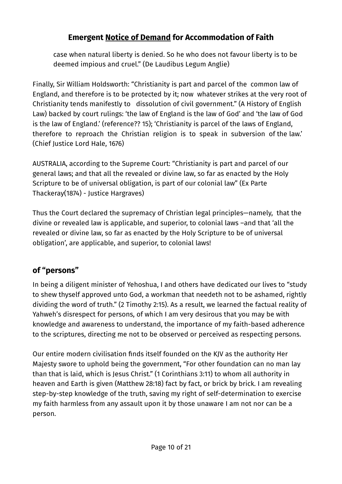case when natural liberty is denied. So he who does not favour liberty is to be deemed impious and cruel." (De Laudibus Legum Anglie)

Finally, Sir William Holdsworth: "Christianity is part and parcel of the common law of England, and therefore is to be protected by it; now whatever strikes at the very root of Christianity tends manifestly to dissolution of civil government." (A History of English Law) backed by court rulings: 'the law of England is the law of God' and 'the law of God is the law of England.' (reference?? 15); 'Christianity is parcel of the laws of England, therefore to reproach the Christian religion is to speak in subversion of the law.' (Chief Justice Lord Hale, 1676)

AUSTRALIA, according to the Supreme Court: "Christianity is part and parcel of our general laws; and that all the revealed or divine law, so far as enacted by the Holy Scripture to be of universal obligation, is part of our colonial law" (Ex Parte Thackeray(1874) - Justice Hargraves)

Thus the Court declared the supremacy of Christian legal principles—namely, that the divine or revealed law is applicable, and superior, to colonial laws –and that 'all the revealed or divine law, so far as enacted by the Holy Scripture to be of universal obligation', are applicable, and superior, to colonial laws!

# **of "persons"**

In being a diligent minister of Yehoshua, I and others have dedicated our lives to "study to shew thyself approved unto God, a workman that needeth not to be ashamed, rightly dividing the word of truth." (2 Timothy 2:15). As a result, we learned the factual reality of Yahweh's disrespect for persons, of which I am very desirous that you may be with knowledge and awareness to understand, the importance of my faith-based adherence to the scriptures, directing me not to be observed or perceived as respecting persons.

Our entire modern civilisation finds itself founded on the KJV as the authority Her Majesty swore to uphold being the government, "For other foundation can no man lay than that is laid, which is Jesus Christ." (1 Corinthians 3:11) to whom all authority in heaven and Earth is given (Matthew 28:18) fact by fact, or brick by brick. I am revealing step-by-step knowledge of the truth, saving my right of self-determination to exercise my faith harmless from any assault upon it by those unaware I am not nor can be a person.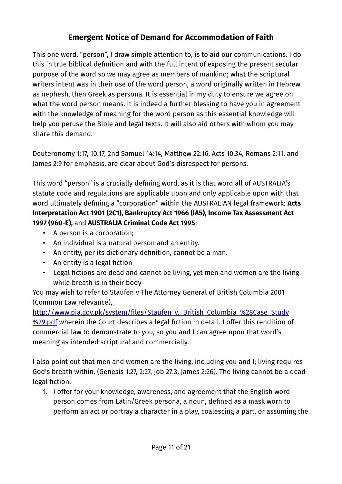This one word, "person", I draw simple attention to, is to aid our communications. I do this in true biblical definition and with the full intent of exposing the present secular purpose of the word so we may agree as members of mankind; what the scriptural writers intent was in their use of the word person, a word originally written in Hebrew as nephesh, then Greek as persona. It is essential in my duty to ensure we agree on what the word person means. It is indeed a further blessing to have you in agreement with the knowledge of meaning for the word person as this essential knowledge will help you peruse the Bible and legal texts. It will also aid others with whom you may share this demand.

Deuteronomy 1:17, 10:17, 2nd Samuel 14:14, Matthew 22:16, Acts 10:34, Romans 2:11, and James 2:9 for emphasis, are clear about God's disrespect for persons.

This word "person" is a crucially defining word, as it is that word all of AUSTRALIA's statute code and regulations are applicable upon and only applicable upon with that word ultimately defining a "corporation" within the AUSTRALIAN legal framework: **Acts Interpretation Act 1901 (2C1), Bankruptcy Act 1966 (IA5), Income Tax Assessment Act 1997 (960-E),** and **AUSTRALIA Criminal Code Act 1995**:

- A person is a corporation;
- An individual is a natural person and an entity.
- An entity, per its dictionary definition, cannot be a man.
- An entity is a legal fiction
- Legal fictions are dead and cannot be living, yet men and women are the living while breath is in their body

You may wish to refer to Staufen v The Attorney General of British Columbia 2001 (Common Law relevance),

http://www.pja.gov.pk/system/files/Staufen\_v. British\_Columbia\_%28Case\_Study [%29.pdf](http://www.pja.gov.pk/system/files/Staufen_v._British_Columbia_(Case_Study).pdf) wherein the Court describes a legal fiction in detail. I offer this rendition of commercial law to demonstrate to you, so you and I can agree upon that word's meaning as intended scriptural and commercially.

I also point out that men and women are the living, including you and I; living requires God's breath within. (Genesis 1:27, 2:27, Job 27:3, James 2:26). The living cannot be a dead legal fiction.

1. I offer for your knowledge, awareness, and agreement that the English word person comes from Latin/Greek persona, a noun, defined as a mask worn to perform an act or portray a character in a play, coalescing a part, or assuming the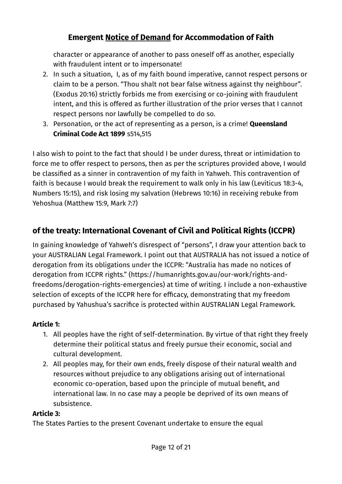character or appearance of another to pass oneself off as another, especially with fraudulent intent or to impersonate!

- 2. In such a situation, I, as of my faith bound imperative, cannot respect persons or claim to be a person. "Thou shalt not bear false witness against thy neighbour". (Exodus 20:16) strictly forbids me from exercising or co-joining with fraudulent intent, and this is offered as further illustration of the prior verses that I cannot respect persons nor lawfully be compelled to do so.
- 3. Personation, or the act of representing as a person, is a crime! **Queensland Criminal Code Act 1899** s514,515

I also wish to point to the fact that should I be under duress, threat or intimidation to force me to offer respect to persons, then as per the scriptures provided above, I would be classified as a sinner in contravention of my faith in Yahweh. This contravention of faith is because I would break the requirement to walk only in his law (Leviticus 18:3-4, Numbers 15:15), and risk losing my salvation (Hebrews 10:16) in receiving rebuke from Yehoshua (Matthew 15:9, Mark 7:7)

# **of the treaty: International Covenant of Civil and Political Rights (ICCPR)**

In gaining knowledge of Yahweh's disrespect of "persons", I draw your attention back to your AUSTRALIAN Legal Framework. I point out that AUSTRALIA has not issued a notice of derogation from its obligations under the ICCPR: "Australia has made no notices of derogation from ICCPR rights." (https://humanrights.gov.au/our-work/rights-andfreedoms/derogation-rights-emergencies) at time of writing. I include a non-exhaustive selection of excepts of the ICCPR here for efficacy, demonstrating that my freedom purchased by Yahushua's sacrifice is protected within AUSTRALIAN Legal Framework.

#### **Article 1:**

- 1. All peoples have the right of self-determination. By virtue of that right they freely determine their political status and freely pursue their economic, social and cultural development.
- 2. All peoples may, for their own ends, freely dispose of their natural wealth and resources without prejudice to any obligations arising out of international economic co-operation, based upon the principle of mutual benefit, and international law. In no case may a people be deprived of its own means of subsistence.

#### **Article 3:**

The States Parties to the present Covenant undertake to ensure the equal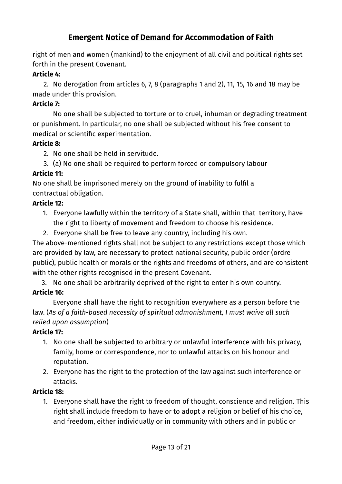right of men and women (mankind) to the enjoyment of all civil and political rights set forth in the present Covenant.

#### **Article 4:**

 2. No derogation from articles 6, 7, 8 (paragraphs 1 and 2), 11, 15, 16 and 18 may be made under this provision.

#### **Article 7:**

No one shall be subjected to torture or to cruel, inhuman or degrading treatment or punishment. In particular, no one shall be subjected without his free consent to medical or scientific experimentation.

#### **Article 8:**

2. No one shall be held in servitude.

3. (a) No one shall be required to perform forced or compulsory labour

#### **Article 11:**

No one shall be imprisoned merely on the ground of inability to fulfil a contractual obligation.

#### **Article 12:**

- 1. Everyone lawfully within the territory of a State shall, within that territory, have the right to liberty of movement and freedom to choose his residence.
- 2. Everyone shall be free to leave any country, including his own.

The above-mentioned rights shall not be subject to any restrictions except those which are provided by law, are necessary to protect national security, public order (ordre public), public health or morals or the rights and freedoms of others, and are consistent with the other rights recognised in the present Covenant.

3. No one shall be arbitrarily deprived of the right to enter his own country.

#### **Article 16:**

Everyone shall have the right to recognition everywhere as a person before the law. (*As of a faith-based necessity of spiritual admonishment, I must waive all such relied upon assumption*)

#### **Article 17:**

- 1. No one shall be subjected to arbitrary or unlawful interference with his privacy, family, home or correspondence, nor to unlawful attacks on his honour and reputation.
- 2. Everyone has the right to the protection of the law against such interference or attacks.

#### **Article 18:**

1. Everyone shall have the right to freedom of thought, conscience and religion. This right shall include freedom to have or to adopt a religion or belief of his choice, and freedom, either individually or in community with others and in public or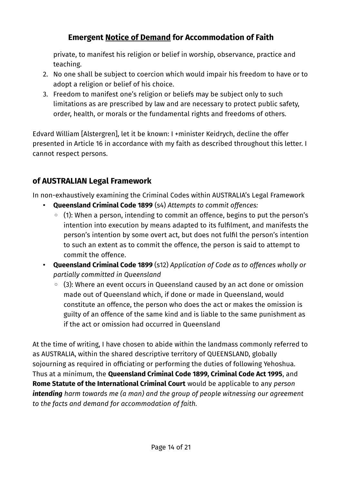private, to manifest his religion or belief in worship, observance, practice and teaching.

- 2. No one shall be subject to coercion which would impair his freedom to have or to adopt a religion or belief of his choice.
- 3. Freedom to manifest one's religion or beliefs may be subject only to such limitations as are prescribed by law and are necessary to protect public safety, order, health, or morals or the fundamental rights and freedoms of others.

Edvard William [Alstergren], let it be known: I +minister Keidrych, decline the offer presented in Article 16 in accordance with my faith as described throughout this letter. I cannot respect persons.

# **of AUSTRALIAN Legal Framework**

In non-exhaustively examining the Criminal Codes within AUSTRALIA's Legal Framework

- **Queensland Criminal Code 1899** (s4) *Attempts to commit offences:*
	- (1): When a person, intending to commit an offence, begins to put the person's intention into execution by means adapted to its fulfilment, and manifests the person's intention by some overt act, but does not fulfil the person's intention to such an extent as to commit the offence, the person is said to attempt to commit the offence.
- **Queensland Criminal Code 1899** (s12) *Application of Code as to offences wholly or partially committed in Queensland*
	- (3): Where an event occurs in Queensland caused by an act done or omission made out of Queensland which, if done or made in Queensland, would constitute an offence, the person who does the act or makes the omission is guilty of an offence of the same kind and is liable to the same punishment as if the act or omission had occurred in Queensland

At the time of writing, I have chosen to abide within the landmass commonly referred to as AUSTRALIA, within the shared descriptive territory of QUEENSLAND, globally sojourning as required in officiating or performing the duties of following Yehoshua. Thus at a minimum, the **Queensland Criminal Code 1899, Criminal Code Act 1995**, and **Rome Statute of the International Criminal Court** would be applicable to any *person intending harm towards me (a man) and the group of people witnessing our agreement to the facts and demand for accommodation of faith.*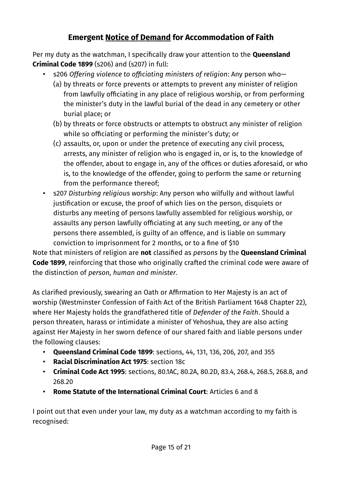Per my duty as the watchman, I specifically draw your attention to the **Queensland Criminal Code 1899** (s206) and (s207) in full:

- s206 *Offering violence to officiating ministers of religion*: Any person who—
	- (a) by threats or force prevents or attempts to prevent any minister of religion from lawfully officiating in any place of religious worship, or from performing the minister's duty in the lawful burial of the dead in any cemetery or other burial place; or
	- (b) by threats or force obstructs or attempts to obstruct any minister of religion while so officiating or performing the minister's duty; or
	- (c) assaults, or, upon or under the pretence of executing any civil process, arrests, any minister of religion who is engaged in, or is, to the knowledge of the offender, about to engage in, any of the offices or duties aforesaid, or who is, to the knowledge of the offender, going to perform the same or returning from the performance thereof;
- s207 *Disturbing religious worship*: Any person who wilfully and without lawful justification or excuse, the proof of which lies on the person, disquiets or disturbs any meeting of persons lawfully assembled for religious worship, or assaults any person lawfully officiating at any such meeting, or any of the persons there assembled, is guilty of an offence, and is liable on summary conviction to imprisonment for 2 months, or to a fine of \$10

Note that ministers of religion are **not** classified as *persons* by the **Queensland Criminal Code 1899**, reinforcing that those who originally crafted the criminal code were aware of the distinction of *person, human and minister*.

As clarified previously, swearing an Oath or Affirmation to Her Majesty is an act of worship (Westminster Confession of Faith Act of the British Parliament 1648 Chapter 22), where Her Majesty holds the grandfathered title of *Defender of the Faith*. Should a person threaten, harass or intimidate a minister of Yehoshua, they are also acting against Her Majesty in her sworn defence of our shared faith and liable persons under the following clauses:

- **Queensland Criminal Code 1899**: sections, 44, 131, 136, 206, 207, and 355
- **Racial Discrimination Act 1975**: section 18c
- **Criminal Code Act 1995**: sections, 80.1AC, 80.2A, 80.2D, 83.4, 268.4, 268.5, 268.8, and 268.20
- **Rome Statute of the International Criminal Court**: Articles 6 and 8

I point out that even under your law, my duty as a watchman according to my faith is recognised: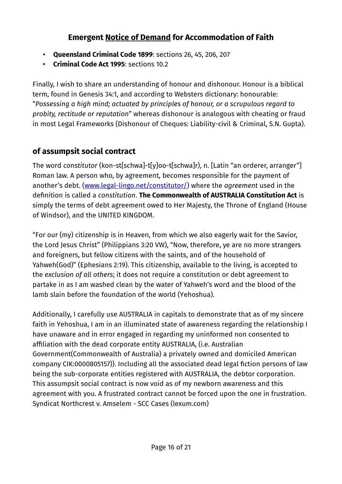- **Queensland Criminal Code 1899**: sections 26, 45, 206, 207
- **Criminal Code Act 1995**: sections 10.2

Finally, I wish to share an understanding of honour and dishonour. Honour is a biblical term, found in Genesis 34:1, and according to Websters dictionary: honourable: "*Possessing a high mind; actuated by principles of honour, or a scrupulous regard to probity, rectitude or reputation*" whereas dishonour is analogous with cheating or fraud in most Legal Frameworks (Dishonour of Cheques: Liability-civil & Criminal, S.N. Gupta).

### **of assumpsit social contract**

The word *constitutor* (kon-st[schwa]-t[y]oo-t[schwa]r), n. [Latin "an orderer, arranger"] Roman law. A person who, by agreement, becomes responsible for the payment of another's debt. [\(www.legal-lingo.net/constitutor/\)](https://www.legal-lingo.net/constitutor/) where the *agreement* used in the definition is called a *constitution*. **The Commonwealth of AUSTRALIA Constitution Act** is simply the terms of debt agreement owed to Her Majesty, the Throne of England (House of Windsor), and the UNITED KINGDOM.

"For our (my) citizenship is in Heaven, from which we also eagerly wait for the Savior, the Lord Jesus Christ" (Philippians 3:20 VW), "Now, therefore, ye are no more strangers and foreigners, but fellow citizens with the saints, and of the household of Yahweh(God)" (Ephesians 2:19). This citizenship, available to the living, is accepted to the *exclusion of all others*; it does not require a constitution or debt agreement to partake in as I am washed clean by the water of Yahweh's word and the blood of the lamb slain before the foundation of the world (Yehoshua).

Additionally, I carefully use AUSTRALIA in capitals to demonstrate that as of my sincere faith in Yehoshua, I am in an illuminated state of awareness regarding the relationship I have unaware and in error engaged in regarding my uninformed non consented to affiliation with the dead corporate entity AUSTRALIA, (i.e. Australian Government(Commonwealth of Australia) a privately owned and domiciled American company CIK:0000805157)). Including all the associated dead legal fiction persons of law being the sub-corporate entities registered with AUSTRALIA, the debtor corporation. This assumpsit social contract is now void as of my newborn awareness and this agreement with you. A frustrated contract cannot be forced upon the one in frustration. Syndicat Northcrest v. Amselem - SCC Cases (lexum.com)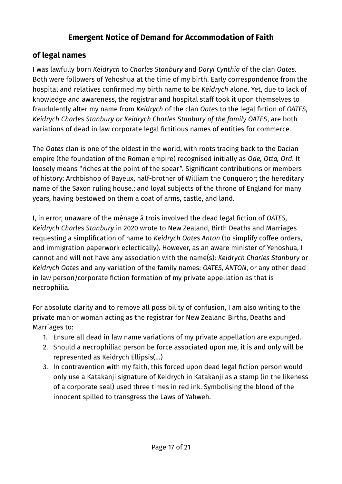### **of legal names**

I was lawfully born *Keidrych* to *Charles Stanbury* and *Daryl Cynthia* of the clan *Oates*. Both were followers of Yehoshua at the time of my birth. Early correspondence from the hospital and relatives confirmed my birth name to be *Keidrych* alone. Yet, due to lack of knowledge and awareness, the registrar and hospital staff took it upon themselves to fraudulently alter my name from *Keidrych* of the clan *Oates* to the legal fiction of *OATES*, *Keidrych Charles Stanbury or Keidrych Charles Stanbury of the family OATES*, are both variations of dead in law corporate legal fictitious names of entities for commerce.

The *Oates* clan is one of the oldest in the world, with roots tracing back to the Dacian empire (the foundation of the Roman empire) recognised initially as *Ode, Otta, Ord*. It loosely means "riches at the point of the spear". Significant contributions or members of history: Archbishop of Bayeux, half-brother of William the Conqueror; the hereditary name of the Saxon ruling house.; and loyal subjects of the throne of England for many years, having bestowed on them a coat of arms, castle, and land.

I, in error, unaware of the ménage à trois involved the dead legal fiction of *OATES, Keidrych Charles Stanbury* in 2020 wrote to New Zealand, Birth Deaths and Marriages requesting a simplification of name to *Keidrych Oates Anton* (to simplify coffee orders, and immigration paperwork eclectically). However, as an aware minister of Yehoshua, I cannot and will not have any association with the name(s): *Keidrych Charles Stanbury* or *Keidrych Oates* and any variation of the family names: *OATES, ANTON*, or any other dead in law person/corporate fiction formation of my private appellation as that is necrophilia.

For absolute clarity and to remove all possibility of confusion, I am also writing to the private man or woman acting as the registrar for New Zealand Births, Deaths and Marriages to:

- 1. Ensure all dead in law name variations of my private appellation are expunged.
- 2. Should a necrophiliac person be force associated upon me, it is and only will be represented as Keidrych Ellipsis(…)
- 3. In contravention with my faith, this forced upon dead legal fiction person would only use a Katakanji signature of Keidrych in Katakanji as a stamp (in the likeness of a corporate seal) used three times in red ink. Symbolising the blood of the innocent spilled to transgress the Laws of Yahweh.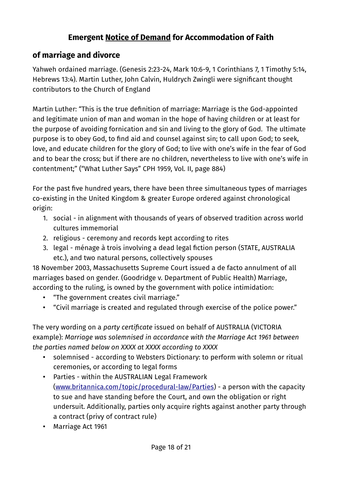### **of marriage and divorce**

Yahweh ordained marriage. (Genesis 2:23-24, Mark 10:6-9, 1 Corinthians 7, 1 Timothy 5:14, Hebrews 13:4). Martin Luther, John Calvin, Huldrych Zwingli were significant thought contributors to the Church of England

Martin Luther: "This is the true definition of marriage: Marriage is the God-appointed and legitimate union of man and woman in the hope of having children or at least for the purpose of avoiding fornication and sin and living to the glory of God. The ultimate purpose is to obey God, to find aid and counsel against sin; to call upon God; to seek, love, and educate children for the glory of God; to live with one's wife in the fear of God and to bear the cross; but if there are no children, nevertheless to live with one's wife in contentment;" ("What Luther Says" CPH 1959, Vol. II, page 884)

For the past five hundred years, there have been three simultaneous types of marriages co-existing in the United Kingdom & greater Europe ordered against chronological origin:

- 1. social in alignment with thousands of years of observed tradition across world cultures immemorial
- 2. religious ceremony and records kept according to rites
- 3. legal ménage à trois involving a dead legal fiction person (STATE, AUSTRALIA etc.), and two natural persons, collectively spouses

18 November 2003, Massachusetts Supreme Court issued a de facto annulment of all marriages based on gender. (Goodridge v. Department of Public Health) Marriage, according to the ruling, is owned by the government with police intimidation:

- "The government creates civil marriage."
- "Civil marriage is created and regulated through exercise of the police power."

The very wording on a *party certificate* issued on behalf of AUSTRALIA (VICTORIA example): *Marriage was solemnised in accordance with the Marriage Act 1961 between the parties named below on XXXX at XXXX according to XXXX*

- solemnised according to Websters Dictionary: to perform with solemn or ritual ceremonies, or according to legal forms
- Parties within the AUSTRALIAN Legal Framework ([www.britannica.com/topic/procedural-law/Parties](https://www.britannica.com/topic/procedural-law/Parties)) - a person with the capacity to sue and have standing before the Court, and own the obligation or right undersuit. Additionally, parties only acquire rights against another party through a contract (privy of contract rule)
- Marriage Act 1961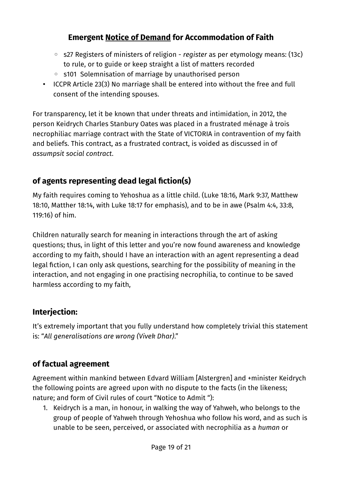- s27 Registers of ministers of religion *register* as per etymology means: (13c) to rule, or to guide or keep straight a list of matters recorded
- s101 Solemnisation of marriage by unauthorised person
- ICCPR Article 23(3) No marriage shall be entered into without the free and full consent of the intending spouses.

For transparency, let it be known that under threats and intimidation, in 2012, the person Keidrych Charles Stanbury Oates was placed in a frustrated ménage à trois necrophiliac marriage contract with the State of VICTORIA in contravention of my faith and beliefs. This contract, as a frustrated contract, is voided as discussed in of *assumpsit social contract*.

# **of agents representing dead legal fiction(s)**

My faith requires coming to Yehoshua as a little child. (Luke 18:16, Mark 9:37, Matthew 18:10, Matther 18:14, with Luke 18:17 for emphasis), and to be in awe (Psalm 4:4, 33:8, 119:16) of him.

Children naturally search for meaning in interactions through the art of asking questions; thus, in light of this letter and you're now found awareness and knowledge according to my faith, should I have an interaction with an agent representing a dead legal fiction, I can only ask questions, searching for the possibility of meaning in the interaction, and not engaging in one practising necrophilia, to continue to be saved harmless according to my faith,

# **Interjection:**

It's extremely important that you fully understand how completely trivial this statement is: "*All generalisations are wrong (Vivek Dhar)*."

### **of factual agreement**

Agreement within mankind between Edvard William [Alstergren] and +minister Keidrych the following points are agreed upon with no dispute to the facts (in the likeness; nature; and form of Civil rules of court "Notice to Admit "):

1. Keidrych is a man, in honour, in walking the way of Yahweh, who belongs to the group of people of Yahweh through Yehoshua who follow his word, and as such is unable to be seen, perceived, or associated with necrophilia as a *human* or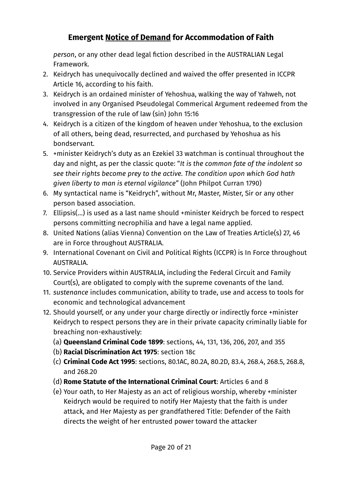*person*, or any other dead legal fiction described in the AUSTRALIAN Legal Framework.

- 2. Keidrych has unequivocally declined and waived the offer presented in ICCPR Article 16, according to his faith.
- 3. Keidrych is an ordained minister of Yehoshua, walking the way of Yahweh, not involved in any Organised Pseudolegal Commerical Argument redeemed from the transgression of the rule of law (sin) John 15:16
- 4. Keidrych is a citizen of the kingdom of heaven under Yehoshua, to the exclusion of all others, being dead, resurrected, and purchased by Yehoshua as his bondservant.
- 5. +minister Keidrych's duty as an Ezekiel 33 watchman is continual throughout the day and night, as per the classic quote: "*It is the common fate of the indolent so see their rights become prey to the active. The condition upon which God hath given liberty to man is eternal vigilance*" (John Philpot Curran 1790)
- 6. My syntactical name is "Keidrych", without Mr, Master, Mister, Sir or any other person based association.
- 7. Ellipsis(…) is used as a last name should +minister Keidrych be forced to respect persons committing necrophilia and have a legal name applied.
- 8. United Nations (alias Vienna) Convention on the Law of Treaties Article(s) 27, 46 are in Force throughout AUSTRALIA.
- 9. International Covenant on Civil and Political Rights (ICCPR) is In Force throughout AUSTRALIA.
- 10. Service Providers within AUSTRALIA, including the Federal Circuit and Family Court(s), are obligated to comply with the supreme covenants of the land.
- 11. *sustenance* includes communication, ability to trade, use and access to tools for economic and technological advancement
- 12. Should yourself, or any under your charge directly or indirectly force +minister Keidrych to respect persons they are in their private capacity criminally liable for breaching non-exhaustively:
	- (a) **Queensland Criminal Code 1899**: sections, 44, 131, 136, 206, 207, and 355
	- (b) **Racial Discrimination Act 1975**: section 18c
	- (c) **Criminal Code Act 1995**: sections, 80.1AC, 80.2A, 80.2D, 83.4, 268.4, 268.5, 268.8, and 268.20
	- (d) **Rome Statute of the International Criminal Court**: Articles 6 and 8
	- (e) Your oath, to Her Majesty as an act of religious worship, whereby +minister Keidrych would be required to notify Her Majesty that the faith is under attack, and Her Majesty as per grandfathered Title: Defender of the Faith directs the weight of her entrusted power toward the attacker